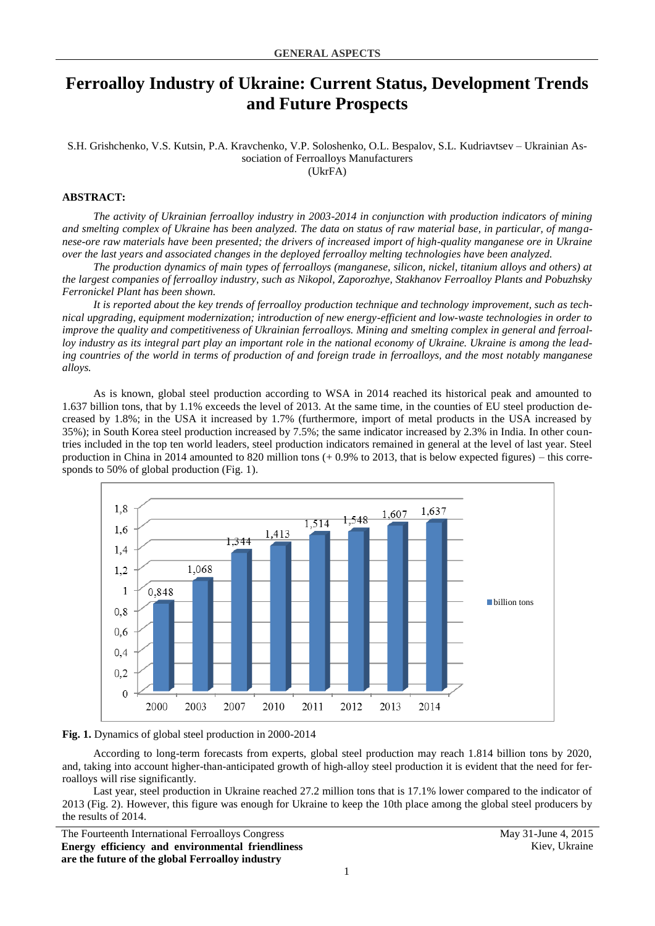## **Ferroalloy Industry of Ukraine: Current Status, Development Trends and Future Prospects**

S.H. Grishchenko, V.S. Kutsin, P.A. Kravchenko, V.P. Soloshenko, O.L. Bespalov, S.L. Kudriavtsev – Ukrainian Association of Ferroalloys Manufacturers (UkrFA)

## **ABSTRACT:**

*The activity of Ukrainian ferroalloy industry in 2003-2014 in conjunction with production indicators of mining and smelting complex of Ukraine has been analyzed. The data on status of raw material base, in particular, of manganese-ore raw materials have been presented; the drivers of increased import of high-quality manganese ore in Ukraine over the last years and associated changes in the deployed ferroalloy melting technologies have been analyzed.*

*The production dynamics of main types of ferroalloys (manganese, silicon, nickel, titanium alloys and others) at the largest companies of ferroalloy industry, such as Nikopol, Zaporozhye, Stakhanov Ferroalloy Plants and Pobuzhsky Ferronickel Plant has been shown.* 

*It is reported about the key trends of ferroalloy production technique and technology improvement, such as technical upgrading, equipment modernization; introduction of new energy-efficient and low-waste technologies in order to improve the quality and competitiveness of Ukrainian ferroalloys. Mining and smelting complex in general and ferroalloy industry as its integral part play an important role in the national economy of Ukraine. Ukraine is among the leading countries of the world in terms of production of and foreign trade in ferroalloys, and the most notably manganese alloys.*

As is known, global steel production according to WSA in 2014 reached its historical peak and amounted to 1.637 billion tons, that by 1.1% exceeds the level of 2013. At the same time, in the counties of EU steel production decreased by 1.8%; in the USA it increased by 1.7% (furthermore, import of metal products in the USA increased by 35%); in South Korea steel production increased by 7.5%; the same indicator increased by 2.3% in India. In other countries included in the top ten world leaders, steel production indicators remained in general at the level of last year. Steel production in China in 2014 amounted to 820 million tons (+ 0.9% to 2013, that is below expected figures) – this corresponds to 50% of global production (Fig. 1).



**Fig. 1.** Dynamics of global steel production in 2000-2014

According to long-term forecasts from experts, global steel production may reach 1.814 billion tons by 2020, and, taking into account higher-than-anticipated growth of high-alloy steel production it is evident that the need for ferroalloys will rise significantly.

Last year, steel production in Ukraine reached 27.2 million tons that is 17.1% lower compared to the indicator of 2013 (Fig. 2). However, this figure was enough for Ukraine to keep the 10th place among the global steel producers by the results of 2014.

The Fourteenth International Ferroalloys Congress May 31-June 4, 2015 **Energy efficiency and environmental friendliness are the future of the global Ferroalloy industry**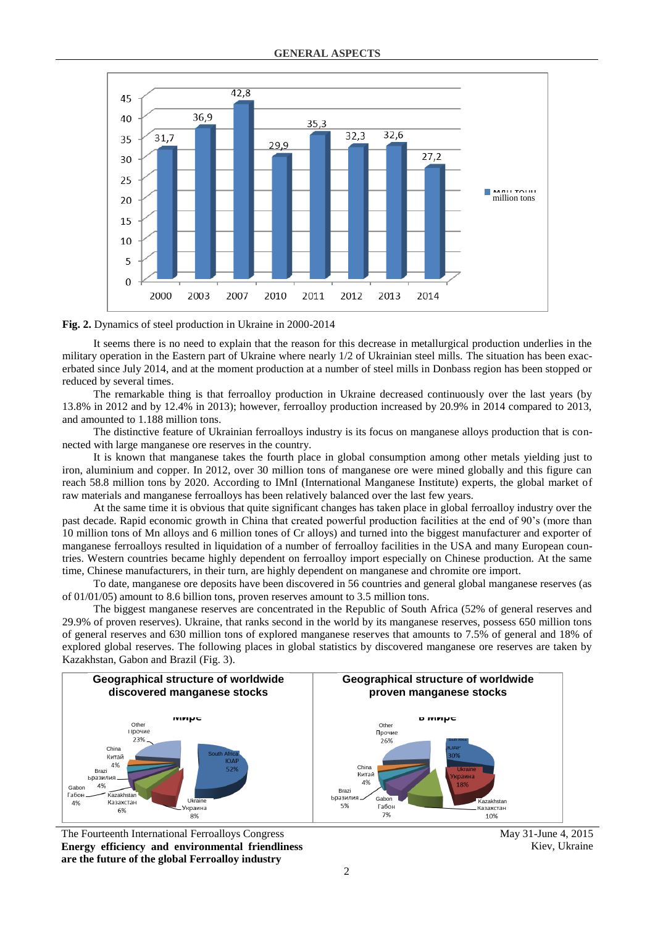

**Fig. 2.** Dynamics of steel production in Ukraine in 2000-2014

It seems there is no need to explain that the reason for this decrease in metallurgical production underlies in the military operation in the Eastern part of Ukraine where nearly 1/2 of Ukrainian steel mills. The situation has been exacerbated since July 2014, and at the moment production at a number of steel mills in Donbass region has been stopped or reduced by several times.

The remarkable thing is that ferroalloy production in Ukraine decreased continuously over the last years (by 13.8% in 2012 and by 12.4% in 2013); however, ferroalloy production increased by 20.9% in 2014 compared to 2013, and amounted to 1.188 million tons.

The distinctive feature of Ukrainian ferroalloys industry is its focus on manganese alloys production that is connected with large manganese ore reserves in the country.

It is known that manganese takes the fourth place in global consumption among other metals yielding just to iron, aluminium and copper. In 2012, over 30 million tons of manganese ore were mined globally and this figure can reach 58.8 million tons by 2020. According to IMnI (International Manganese Institute) experts, the global market of raw materials and manganese ferroalloys has been relatively balanced over the last few years.

At the same time it is obvious that quite significant changes has taken place in global ferroalloy industry over the past decade. Rapid economic growth in China that created powerful production facilities at the end of 90's (more than 10 million tons of Mn alloys and 6 million tones of Cr alloys) and turned into the biggest manufacturer and exporter of manganese ferroalloys resulted in liquidation of a number of ferroalloy facilities in the USA and many European countries. Western countries became highly dependent on ferroalloy import especially on Chinese production. At the same time, Chinese manufacturers, in their turn, are highly dependent on manganese and chromite ore import.

To date, manganese ore deposits have been discovered in 56 countries and general global manganese reserves (as of 01/01/05) amount to 8.6 billion tons, proven reserves amount to 3.5 million tons.

The biggest manganese reserves are concentrated in the Republic of South Africa (52% of general reserves and 29.9% of proven reserves). Ukraine, that ranks second in the world by its manganese reserves, possess 650 million tons of general reserves and 630 million tons of explored manganese reserves that amounts to 7.5% of general and 18% of explored global reserves. The following places in global statistics by discovered manganese ore reserves are taken by Kazakhstan, Gabon and Brazil (Fig. 3).



The Fourteenth International Ferroalloys Congress May 31-June 4, 2015 **Energy efficiency and environmental friendliness are the future of the global Ferroalloy industry**

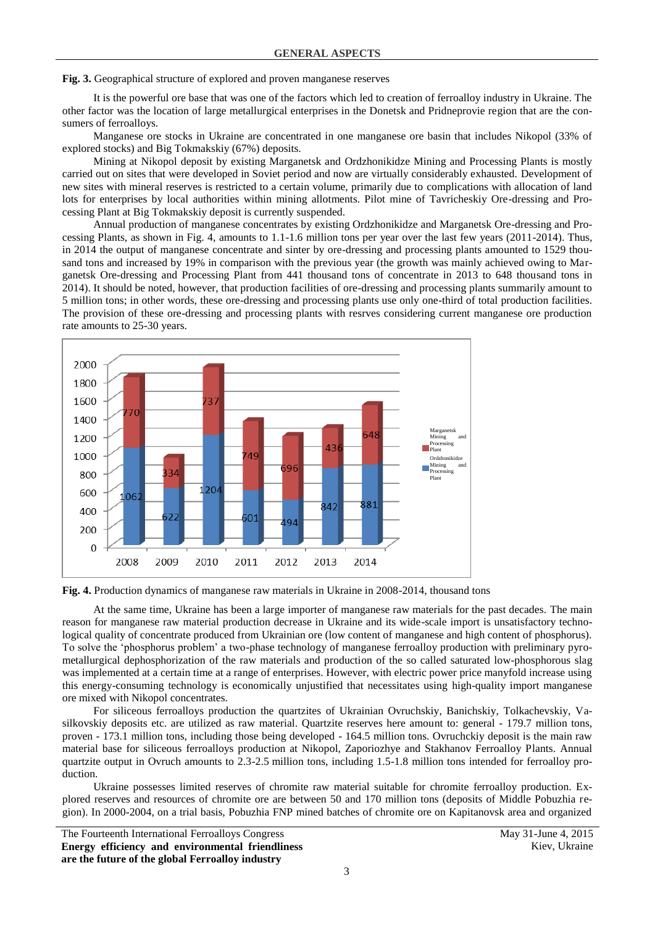**Fig. 3.** Geographical structure of explored and proven manganese reserves

It is the powerful ore base that was one of the factors which led to creation of ferroalloy industry in Ukraine. The other factor was the location of large metallurgical enterprises in the Donetsk and Pridneprovie region that are the consumers of ferroalloys.

Manganese ore stocks in Ukraine are concentrated in one manganese ore basin that includes Nikopol (33% of explored stocks) and Big Tokmakskiy (67%) deposits.

Mining at Nikopol deposit by existing Marganetsk and Ordzhonikidze Mining and Processing Plants is mostly carried out on sites that were developed in Soviet period and now are virtually considerably exhausted. Development of new sites with mineral reserves is restricted to a certain volume, primarily due to complications with allocation of land lots for enterprises by local authorities within mining allotments. Pilot mine of Tavricheskiy Ore-dressing and Processing Plant at Big Tokmakskiy deposit is currently suspended.

Annual production of manganese concentrates by existing Ordzhonikidze and Marganetsk Ore-dressing and Processing Plants, as shown in Fig. 4, amounts to 1.1-1.6 million tons per year over the last few years (2011-2014). Thus, in 2014 the output of manganese concentrate and sinter by ore-dressing and processing plants amounted to 1529 thousand tons and increased by 19% in comparison with the previous year (the growth was mainly achieved owing to Marganetsk Ore-dressing and Processing Plant from 441 thousand tons of concentrate in 2013 to 648 thousand tons in 2014). It should be noted, however, that production facilities of ore-dressing and processing plants summarily amount to 5 million tons; in other words, these ore-dressing and processing plants use only one-third of total production facilities. The provision of these ore-dressing and processing plants with resrves considering current manganese ore production rate amounts to 25-30 years.



**Fig. 4.** Production dynamics of manganese raw materials in Ukraine in 2008-2014, thousand tons

At the same time, Ukraine has been a large importer of manganese raw materials for the past decades. The main reason for manganese raw material production decrease in Ukraine and its wide-scale import is unsatisfactory technological quality of concentrate produced from Ukrainian ore (low content of manganese and high content of phosphorus). To solve the 'phosphorus problem' a two-phase technology of manganese ferroalloy production with preliminary pyrometallurgical dephosphorization of the raw materials and production of the so called saturated low-phosphorous slag was implemented at a certain time at a range of enterprises. However, with electric power price manyfold increase using this energy-consuming technology is economically unjustified that necessitates using high-quality import manganese ore mixed with Nikopol concentrates.

For siliceous ferroalloys production the quartzites of Ukrainian Ovruchskiy, Banichskiy, Tolkachevskiy, Vasilkovskiy deposits etc. are utilized as raw material. Quartzite reserves here amount to: general - 179.7 million tons, proven - 173.1 million tons, including those being developed - 164.5 million tons. Ovruchckiy deposit is the main raw material base for siliceous ferroalloys production at Nikopol, Zaporiozhye and Stakhanov Ferroalloy Plants. Annual quartzite output in Ovruch amounts to 2.3-2.5 million tons, including 1.5-1.8 million tons intended for ferroalloy production.

Ukraine possesses limited reserves of chromite raw material suitable for chromite ferroalloy production. Explored reserves and resources of chromite ore are between 50 and 170 million tons (deposits of Middle Pobuzhia region). In 2000-2004, on a trial basis, Pobuzhia FNP mined batches of chromite ore on Kapitanovsk area and organized

The Fourteenth International Ferroalloys Congress May 31-June 4, 2015 **Energy efficiency and environmental friendliness are the future of the global Ferroalloy industry**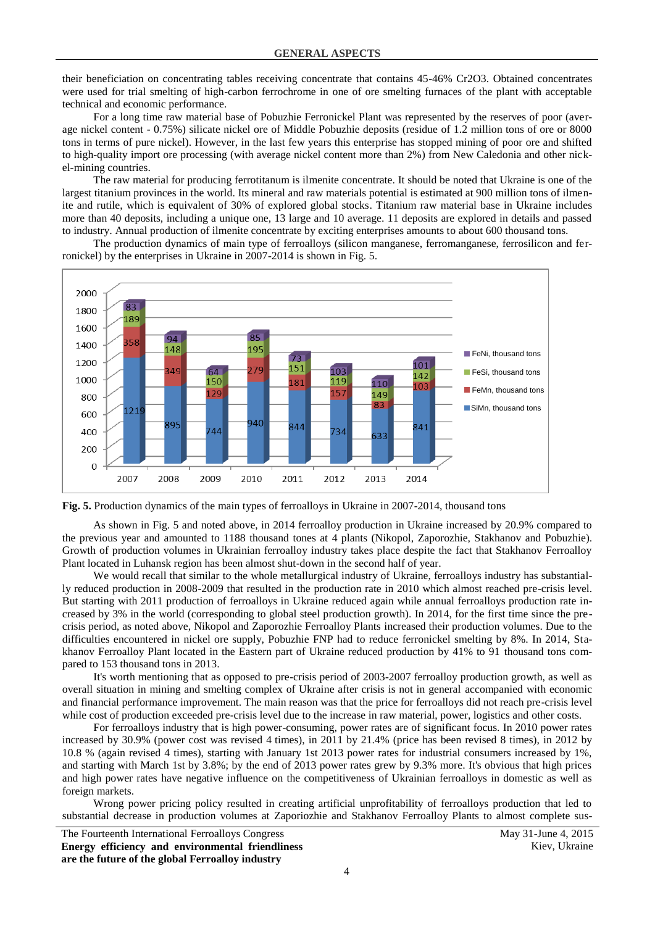their beneficiation on concentrating tables receiving concentrate that contains 45-46% Cr2O3. Obtained concentrates were used for trial smelting of high-carbon ferrochrome in one of ore smelting furnaces of the plant with acceptable technical and economic performance.

For a long time raw material base of Pobuzhie Ferronickel Plant was represented by the reserves of poor (average nickel content - 0.75%) silicate nickel ore of Middle Pobuzhie deposits (residue of 1.2 million tons of ore or 8000 tons in terms of pure nickel). However, in the last few years this enterprise has stopped mining of poor ore and shifted to high-quality import ore processing (with average nickel content more than 2%) from New Caledonia and other nickel-mining countries.

The raw material for producing ferrotitanum is ilmenite concentrate. It should be noted that Ukraine is one of the largest titanium provinces in the world. Its mineral and raw materials potential is estimated at 900 million tons of ilmenite and rutile, which is equivalent of 30% of explored global stocks. Titanium raw material base in Ukraine includes more than 40 deposits, including a unique one, 13 large and 10 average. 11 deposits are explored in details and passed to industry. Annual production of ilmenite concentrate by exciting enterprises amounts to about 600 thousand tons.

The production dynamics of main type of ferroalloys (silicon manganese, ferromanganese, ferrosilicon and ferronickel) by the enterprises in Ukraine in 2007-2014 is shown in Fig. 5.



**Fig. 5.** Production dynamics of the main types of ferroalloys in Ukraine in 2007-2014, thousand tons

As shown in Fig. 5 and noted above, in 2014 ferroalloy production in Ukraine increased by 20.9% compared to the previous year and amounted to 1188 thousand tones at 4 plants (Nikopol, Zaporozhie, Stakhanov and Pobuzhie). Growth of production volumes in Ukrainian ferroalloy industry takes place despite the fact that Stakhanov Ferroalloy Plant located in Luhansk region has been almost shut-down in the second half of year.

We would recall that similar to the whole metallurgical industry of Ukraine, ferroalloys industry has substantially reduced production in 2008-2009 that resulted in the production rate in 2010 which almost reached pre-crisis level. But starting with 2011 production of ferroalloys in Ukraine reduced again while annual ferroalloys production rate increased by 3% in the world (corresponding to global steel production growth). In 2014, for the first time since the precrisis period, as noted above, Nikopol and Zaporozhie Ferroalloy Plants increased their production volumes. Due to the difficulties encountered in nickel ore supply, Pobuzhie FNP had to reduce ferronickel smelting by 8%. In 2014, Stakhanov Ferroalloy Plant located in the Eastern part of Ukraine reduced production by 41% to 91 thousand tons compared to 153 thousand tons in 2013.

It's worth mentioning that as opposed to pre-crisis period of 2003-2007 ferroalloy production growth, as well as overall situation in mining and smelting complex of Ukraine after crisis is not in general accompanied with economic and financial performance improvement. The main reason was that the price for ferroalloys did not reach pre-crisis level while cost of production exceeded pre-crisis level due to the increase in raw material, power, logistics and other costs.

For ferroalloys industry that is high power-consuming, power rates are of significant focus. In 2010 power rates increased by 30.9% (power cost was revised 4 times), in 2011 by 21.4% (price has been revised 8 times), in 2012 by 10.8 % (again revised 4 times), starting with January 1st 2013 power rates for industrial consumers increased by 1%, and starting with March 1st by 3.8%; by the end of 2013 power rates grew by 9.3% more. It's obvious that high prices and high power rates have negative influence on the competitiveness of Ukrainian ferroalloys in domestic as well as foreign markets.

Wrong power pricing policy resulted in creating artificial unprofitability of ferroalloys production that led to substantial decrease in production volumes at Zaporiozhie and Stakhanov Ferroalloy Plants to almost complete sus-

The Fourteenth International Ferroalloys Congress May 31-June 4, 2015 **Energy efficiency and environmental friendliness are the future of the global Ferroalloy industry**

Kiev, Ukraine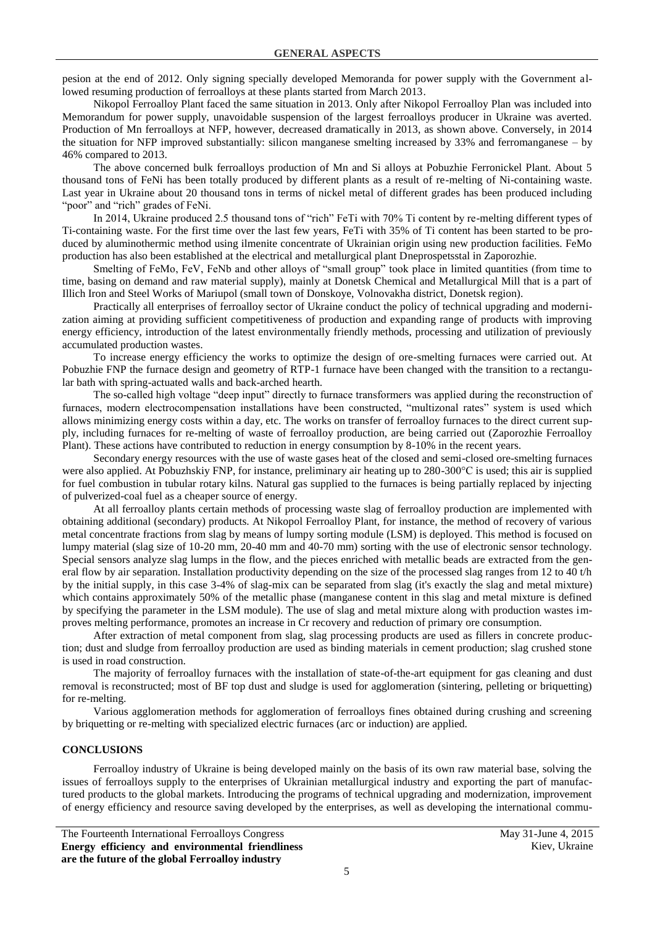pesion at the end of 2012. Only signing specially developed Memoranda for power supply with the Government allowed resuming production of ferroalloys at these plants started from March 2013.

Nikopol Ferroalloy Plant faced the same situation in 2013. Only after Nikopol Ferroalloy Plan was included into Memorandum for power supply, unavoidable suspension of the largest ferroalloys producer in Ukraine was averted. Production of Mn ferroalloys at NFP, however, decreased dramatically in 2013, as shown above. Conversely, in 2014 the situation for NFP improved substantially: silicon manganese smelting increased by 33% and ferromanganese – by 46% compared to 2013.

The above concerned bulk ferroalloys production of Mn and Si alloys at Pobuzhie Ferronickel Plant. About 5 thousand tons of FeNi has been totally produced by different plants as a result of re-melting of Ni-containing waste. Last year in Ukraine about 20 thousand tons in terms of nickel metal of different grades has been produced including "poor" and "rich" grades of FeNi.

In 2014, Ukraine produced 2.5 thousand tons of "rich" FeTi with 70% Ti content by re-melting different types of Ti-containing waste. For the first time over the last few years, FeTi with 35% of Ti content has been started to be produced by aluminothermic method using ilmenite concentrate of Ukrainian origin using new production facilities. FeMo production has also been established at the electrical and metallurgical plant Dneprospetsstal in Zaporozhie.

Smelting of FeMo, FeV, FeNb and other alloys of "small group" took place in limited quantities (from time to time, basing on demand and raw material supply), mainly at Donetsk Chemical and Metallurgical Mill that is a part of Illich Iron and Steel Works of Mariupol (small town of Donskoye, Volnovakha district, Donetsk region).

Practically all enterprises of ferroalloy sector of Ukraine conduct the policy of technical upgrading and modernization aiming at providing sufficient competitiveness of production and expanding range of products with improving energy efficiency, introduction of the latest environmentally friendly methods, processing and utilization of previously accumulated production wastes.

To increase energy efficiency the works to optimize the design of ore-smelting furnaces were carried out. At Pobuzhie FNP the furnace design and geometry of RTP-1 furnace have been changed with the transition to a rectangular bath with spring-actuated walls and back-arched hearth.

The so-called high voltage "deep input" directly to furnace transformers was applied during the reconstruction of furnaces, modern electrocompensation installations have been constructed, "multizonal rates" system is used which allows minimizing energy costs within a day, etc. The works on transfer of ferroalloy furnaces to the direct current supply, including furnaces for re-melting of waste of ferroalloy production, are being carried out (Zaporozhie Ferroalloy Plant). These actions have contributed to reduction in energy consumption by 8-10% in the recent years.

Secondary energy resources with the use of waste gases heat of the closed and semi-closed ore-smelting furnaces were also applied. At Pobuzhskiy FNP, for instance, preliminary air heating up to 280-300°C is used; this air is supplied for fuel combustion in tubular rotary kilns. Natural gas supplied to the furnaces is being partially replaced by injecting of pulverized-coal fuel as a cheaper source of energy.

At all ferroalloy plants certain methods of processing waste slag of ferroalloy production are implemented with obtaining additional (secondary) products. At Nikopol Ferroalloy Plant, for instance, the method of recovery of various metal concentrate fractions from slag by means of lumpy sorting module (LSM) is deployed. This method is focused on lumpy material (slag size of 10-20 mm, 20-40 mm and 40-70 mm) sorting with the use of electronic sensor technology. Special sensors analyze slag lumps in the flow, and the pieces enriched with metallic beads are extracted from the general flow by air separation. Installation productivity depending on the size of the processed slag ranges from 12 to 40 t/h by the initial supply, in this case 3-4% of slag-mix can be separated from slag (it's exactly the slag and metal mixture) which contains approximately 50% of the metallic phase (manganese content in this slag and metal mixture is defined by specifying the parameter in the LSM module). The use of slag and metal mixture along with production wastes improves melting performance, promotes an increase in Cr recovery and reduction of primary ore consumption.

After extraction of metal component from slag, slag processing products are used as fillers in concrete production; dust and sludge from ferroalloy production are used as binding materials in cement production; slag crushed stone is used in road construction.

The majority of ferroalloy furnaces with the installation of state-of-the-art equipment for gas cleaning and dust removal is reconstructed; most of BF top dust and sludge is used for agglomeration (sintering, pelleting or briquetting) for re-melting.

Various agglomeration methods for agglomeration of ferroalloys fines obtained during crushing and screening by briquetting or re-melting with specialized electric furnaces (arc or induction) are applied.

## **CONCLUSIONS**

Ferroalloy industry of Ukraine is being developed mainly on the basis of its own raw material base, solving the issues of ferroalloys supply to the enterprises of Ukrainian metallurgical industry and exporting the part of manufactured products to the global markets. Introducing the programs of technical upgrading and modernization, improvement of energy efficiency and resource saving developed by the enterprises, as well as developing the international commu